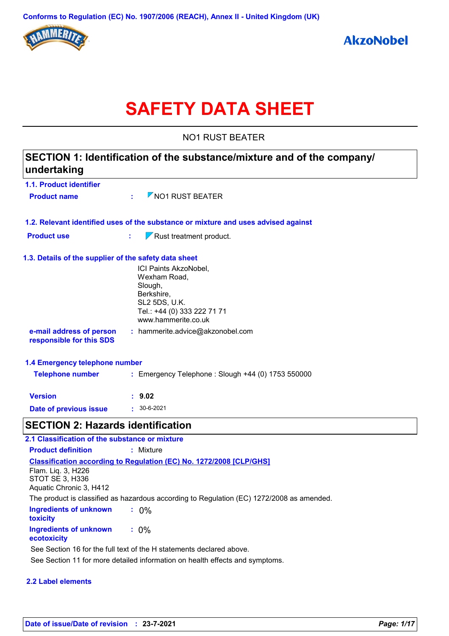

# **SAFETY DATA SHEET**

NO1 RUST BEATER

| SECTION 1: Identification of the substance/mixture and of the company/<br>undertaking |                                                                                                                                              |  |
|---------------------------------------------------------------------------------------|----------------------------------------------------------------------------------------------------------------------------------------------|--|
| 1.1. Product identifier                                                               |                                                                                                                                              |  |
| <b>Product name</b>                                                                   | $\nabla$ NO1 RUST BEATER                                                                                                                     |  |
|                                                                                       | 1.2. Relevant identified uses of the substance or mixture and uses advised against                                                           |  |
| <b>Product use</b>                                                                    | $\nabla$ Rust treatment product.<br>t,                                                                                                       |  |
| 1.3. Details of the supplier of the safety data sheet                                 |                                                                                                                                              |  |
|                                                                                       | ICI Paints AkzoNobel,<br>Wexham Road,<br>Slough,<br>Berkshire,<br><b>SL2 5DS, U.K.</b><br>Tel.: +44 (0) 333 222 71 71<br>www.hammerite.co.uk |  |
| e-mail address of person<br>responsible for this SDS                                  | : hammerite.advice@akzonobel.com                                                                                                             |  |
| 1.4 Emergency telephone number                                                        |                                                                                                                                              |  |
| <b>Telephone number</b>                                                               | : Emergency Telephone : Slough +44 (0) 1753 550000                                                                                           |  |
| <b>Version</b>                                                                        | : 9.02                                                                                                                                       |  |
| Date of previous issue                                                                | $\cdot$ 30-6-2021                                                                                                                            |  |
| <b>SECTION 2: Hazards identification</b>                                              |                                                                                                                                              |  |
| 2.1 Classification of the substance or mixture                                        |                                                                                                                                              |  |
| <b>Product definition</b>                                                             | : Mixture                                                                                                                                    |  |
| Flam. Liq. 3, H226<br><b>STOT SE 3, H336</b><br>Aquatic Chronic 3, H412               | Classification according to Regulation (EC) No. 1272/2008 [CLP/GHS]                                                                          |  |
|                                                                                       | The product is classified as hazardous according to Regulation (EC) 1272/2008 as amended.                                                    |  |

| <b>Ingredients of unknown</b><br>toxicity | $: 0\%$ |
|-------------------------------------------|---------|
| Ingredients of unknown<br>ecotoxicity     | $: 0\%$ |

See Section 16 for the full text of the H statements declared above.

See Section 11 for more detailed information on health effects and symptoms.

## **2.2 Label elements**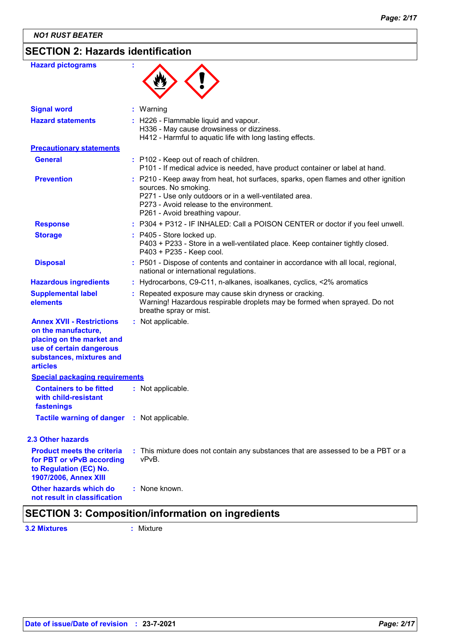## **SECTION 2: Hazards identification**

| <b>Signal word</b><br>: Warning<br><b>Hazard statements</b><br>: H226 - Flammable liquid and vapour.<br>H336 - May cause drowsiness or dizziness.<br>H412 - Harmful to aquatic life with long lasting effects.<br><b>Precautionary statements</b><br><b>General</b><br>: P102 - Keep out of reach of children.<br>P101 - If medical advice is needed, have product container or label at hand.<br><b>Prevention</b><br>: P210 - Keep away from heat, hot surfaces, sparks, open flames and other ignition<br>sources. No smoking.<br>P271 - Use only outdoors or in a well-ventilated area.<br>P273 - Avoid release to the environment.<br>P261 - Avoid breathing vapour.<br><b>Response</b><br>: P304 + P312 - IF INHALED: Call a POISON CENTER or doctor if you feel unwell.<br>: P405 - Store locked up.<br><b>Storage</b><br>P403 + P233 - Store in a well-ventilated place. Keep container tightly closed.<br>P403 + P235 - Keep cool.<br><b>Disposal</b><br>: P501 - Dispose of contents and container in accordance with all local, regional,<br>national or international regulations.<br>: Hydrocarbons, C9-C11, n-alkanes, isoalkanes, cyclics, <2% aromatics<br><b>Hazardous ingredients</b><br><b>Supplemental label</b><br>: Repeated exposure may cause skin dryness or cracking.<br>Warning! Hazardous respirable droplets may be formed when sprayed. Do not<br>elements<br>breathe spray or mist.<br><b>Annex XVII - Restrictions</b><br>: Not applicable.<br>on the manufacture,<br>placing on the market and<br>use of certain dangerous<br>substances, mixtures and<br><b>articles</b><br><b>Special packaging requirements</b><br><b>Containers to be fitted</b><br>: Not applicable.<br>with child-resistant<br>fastenings<br>Tactile warning of danger : Not applicable.<br>2.3 Other hazards<br><b>Product meets the criteria</b><br>: This mixture does not contain any substances that are assessed to be a PBT or a<br>vPvB.<br>for PBT or vPvB according<br>to Regulation (EC) No.<br>1907/2006, Annex XIII<br>Other hazards which do<br>: None known.<br>not result in classification | <b>Hazard pictograms</b> |  |
|--------------------------------------------------------------------------------------------------------------------------------------------------------------------------------------------------------------------------------------------------------------------------------------------------------------------------------------------------------------------------------------------------------------------------------------------------------------------------------------------------------------------------------------------------------------------------------------------------------------------------------------------------------------------------------------------------------------------------------------------------------------------------------------------------------------------------------------------------------------------------------------------------------------------------------------------------------------------------------------------------------------------------------------------------------------------------------------------------------------------------------------------------------------------------------------------------------------------------------------------------------------------------------------------------------------------------------------------------------------------------------------------------------------------------------------------------------------------------------------------------------------------------------------------------------------------------------------------------------------------------------------------------------------------------------------------------------------------------------------------------------------------------------------------------------------------------------------------------------------------------------------------------------------------------------------------------------------------------------------------------------------------------------------------------------------------------------------------------------------------|--------------------------|--|
|                                                                                                                                                                                                                                                                                                                                                                                                                                                                                                                                                                                                                                                                                                                                                                                                                                                                                                                                                                                                                                                                                                                                                                                                                                                                                                                                                                                                                                                                                                                                                                                                                                                                                                                                                                                                                                                                                                                                                                                                                                                                                                                    |                          |  |
|                                                                                                                                                                                                                                                                                                                                                                                                                                                                                                                                                                                                                                                                                                                                                                                                                                                                                                                                                                                                                                                                                                                                                                                                                                                                                                                                                                                                                                                                                                                                                                                                                                                                                                                                                                                                                                                                                                                                                                                                                                                                                                                    |                          |  |
|                                                                                                                                                                                                                                                                                                                                                                                                                                                                                                                                                                                                                                                                                                                                                                                                                                                                                                                                                                                                                                                                                                                                                                                                                                                                                                                                                                                                                                                                                                                                                                                                                                                                                                                                                                                                                                                                                                                                                                                                                                                                                                                    |                          |  |
|                                                                                                                                                                                                                                                                                                                                                                                                                                                                                                                                                                                                                                                                                                                                                                                                                                                                                                                                                                                                                                                                                                                                                                                                                                                                                                                                                                                                                                                                                                                                                                                                                                                                                                                                                                                                                                                                                                                                                                                                                                                                                                                    |                          |  |
|                                                                                                                                                                                                                                                                                                                                                                                                                                                                                                                                                                                                                                                                                                                                                                                                                                                                                                                                                                                                                                                                                                                                                                                                                                                                                                                                                                                                                                                                                                                                                                                                                                                                                                                                                                                                                                                                                                                                                                                                                                                                                                                    |                          |  |
|                                                                                                                                                                                                                                                                                                                                                                                                                                                                                                                                                                                                                                                                                                                                                                                                                                                                                                                                                                                                                                                                                                                                                                                                                                                                                                                                                                                                                                                                                                                                                                                                                                                                                                                                                                                                                                                                                                                                                                                                                                                                                                                    |                          |  |
|                                                                                                                                                                                                                                                                                                                                                                                                                                                                                                                                                                                                                                                                                                                                                                                                                                                                                                                                                                                                                                                                                                                                                                                                                                                                                                                                                                                                                                                                                                                                                                                                                                                                                                                                                                                                                                                                                                                                                                                                                                                                                                                    |                          |  |
|                                                                                                                                                                                                                                                                                                                                                                                                                                                                                                                                                                                                                                                                                                                                                                                                                                                                                                                                                                                                                                                                                                                                                                                                                                                                                                                                                                                                                                                                                                                                                                                                                                                                                                                                                                                                                                                                                                                                                                                                                                                                                                                    |                          |  |
|                                                                                                                                                                                                                                                                                                                                                                                                                                                                                                                                                                                                                                                                                                                                                                                                                                                                                                                                                                                                                                                                                                                                                                                                                                                                                                                                                                                                                                                                                                                                                                                                                                                                                                                                                                                                                                                                                                                                                                                                                                                                                                                    |                          |  |
|                                                                                                                                                                                                                                                                                                                                                                                                                                                                                                                                                                                                                                                                                                                                                                                                                                                                                                                                                                                                                                                                                                                                                                                                                                                                                                                                                                                                                                                                                                                                                                                                                                                                                                                                                                                                                                                                                                                                                                                                                                                                                                                    |                          |  |
|                                                                                                                                                                                                                                                                                                                                                                                                                                                                                                                                                                                                                                                                                                                                                                                                                                                                                                                                                                                                                                                                                                                                                                                                                                                                                                                                                                                                                                                                                                                                                                                                                                                                                                                                                                                                                                                                                                                                                                                                                                                                                                                    |                          |  |
|                                                                                                                                                                                                                                                                                                                                                                                                                                                                                                                                                                                                                                                                                                                                                                                                                                                                                                                                                                                                                                                                                                                                                                                                                                                                                                                                                                                                                                                                                                                                                                                                                                                                                                                                                                                                                                                                                                                                                                                                                                                                                                                    |                          |  |
|                                                                                                                                                                                                                                                                                                                                                                                                                                                                                                                                                                                                                                                                                                                                                                                                                                                                                                                                                                                                                                                                                                                                                                                                                                                                                                                                                                                                                                                                                                                                                                                                                                                                                                                                                                                                                                                                                                                                                                                                                                                                                                                    |                          |  |
|                                                                                                                                                                                                                                                                                                                                                                                                                                                                                                                                                                                                                                                                                                                                                                                                                                                                                                                                                                                                                                                                                                                                                                                                                                                                                                                                                                                                                                                                                                                                                                                                                                                                                                                                                                                                                                                                                                                                                                                                                                                                                                                    |                          |  |
|                                                                                                                                                                                                                                                                                                                                                                                                                                                                                                                                                                                                                                                                                                                                                                                                                                                                                                                                                                                                                                                                                                                                                                                                                                                                                                                                                                                                                                                                                                                                                                                                                                                                                                                                                                                                                                                                                                                                                                                                                                                                                                                    |                          |  |
|                                                                                                                                                                                                                                                                                                                                                                                                                                                                                                                                                                                                                                                                                                                                                                                                                                                                                                                                                                                                                                                                                                                                                                                                                                                                                                                                                                                                                                                                                                                                                                                                                                                                                                                                                                                                                                                                                                                                                                                                                                                                                                                    |                          |  |
|                                                                                                                                                                                                                                                                                                                                                                                                                                                                                                                                                                                                                                                                                                                                                                                                                                                                                                                                                                                                                                                                                                                                                                                                                                                                                                                                                                                                                                                                                                                                                                                                                                                                                                                                                                                                                                                                                                                                                                                                                                                                                                                    |                          |  |

## **SECTION 3: Composition/information on ingredients**

**3.2 Mixtures :** Mixture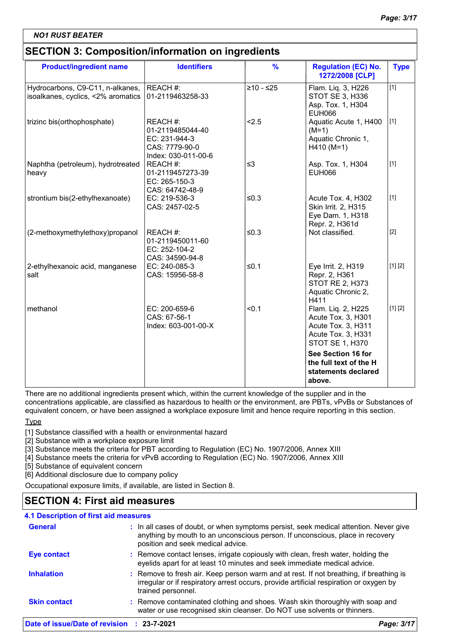## **SECTION 3: Composition/information on ingredients**

| <b>Product/ingredient name</b>                                         | <b>Identifiers</b>                                                                     | $\frac{9}{6}$ | <b>Regulation (EC) No.</b><br>1272/2008 [CLP]                                                           | <b>Type</b>      |
|------------------------------------------------------------------------|----------------------------------------------------------------------------------------|---------------|---------------------------------------------------------------------------------------------------------|------------------|
| Hydrocarbons, C9-C11, n-alkanes,<br>isoalkanes, cyclics, <2% aromatics | REACH #:<br>01-2119463258-33                                                           | $≥10 - ≤25$   | Flam. Liq. 3, H226<br>STOT SE 3, H336<br>Asp. Tox. 1, H304<br><b>EUH066</b>                             | $\overline{[1]}$ |
| trizinc bis(orthophosphate)                                            | REACH #:<br>01-2119485044-40<br>EC: 231-944-3<br>CAS: 7779-90-0<br>Index: 030-011-00-6 | < 2.5         | Aquatic Acute 1, H400<br>$(M=1)$<br>Aquatic Chronic 1,<br>$H410 (M=1)$                                  | $[1]$            |
| Naphtha (petroleum), hydrotreated<br>heavy                             | REACH #:<br>01-2119457273-39<br>EC: 265-150-3<br>CAS: 64742-48-9                       | $\leq$ 3      | Asp. Tox. 1, H304<br>EUH066                                                                             | $[1]$            |
| strontium bis(2-ethylhexanoate)                                        | EC: 219-536-3<br>CAS: 2457-02-5                                                        | $≤0.3$        | Acute Tox. 4, H302<br>Skin Irrit. 2, H315<br>Eye Dam. 1, H318<br>Repr. 2, H361d                         | $[1]$            |
| (2-methoxymethylethoxy)propanol                                        | REACH #:<br>01-2119450011-60<br>EC: 252-104-2<br>CAS: 34590-94-8                       | $≤0.3$        | Not classified.                                                                                         | $[2]$            |
| 2-ethylhexanoic acid, manganese<br>salt                                | EC: 240-085-3<br>CAS: 15956-58-8                                                       | $≤0.1$        | Eye Irrit. 2, H319<br>Repr. 2, H361<br><b>STOT RE 2, H373</b><br>Aquatic Chronic 2,<br>H411             | [1] [2]          |
| methanol                                                               | EC: 200-659-6<br>CAS: 67-56-1<br>Index: 603-001-00-X                                   | < 0.1         | Flam. Liq. 2, H225<br>Acute Tox. 3, H301<br>Acute Tox. 3, H311<br>Acute Tox. 3, H331<br>STOT SE 1, H370 | [1] [2]          |
|                                                                        |                                                                                        |               | See Section 16 for<br>the full text of the H<br>statements declared<br>above.                           |                  |

There are no additional ingredients present which, within the current knowledge of the supplier and in the

concentrations applicable, are classified as hazardous to health or the environment, are PBTs, vPvBs or Substances of equivalent concern, or have been assigned a workplace exposure limit and hence require reporting in this section.

Type

[1] Substance classified with a health or environmental hazard

[2] Substance with a workplace exposure limit

[3] Substance meets the criteria for PBT according to Regulation (EC) No. 1907/2006, Annex XIII

[4] Substance meets the criteria for vPvB according to Regulation (EC) No. 1907/2006, Annex XIII

[5] Substance of equivalent concern

[6] Additional disclosure due to company policy

Occupational exposure limits, if available, are listed in Section 8.

## **SECTION 4: First aid measures**

## **4.1 Description of first aid measures**

| Date of issue/Date of revision : 23-7-2021 |                                                                                                                                                                                                             | Page: 3/17 |
|--------------------------------------------|-------------------------------------------------------------------------------------------------------------------------------------------------------------------------------------------------------------|------------|
| <b>Skin contact</b>                        | : Remove contaminated clothing and shoes. Wash skin thoroughly with soap and<br>water or use recognised skin cleanser. Do NOT use solvents or thinners.                                                     |            |
| <b>Inhalation</b>                          | : Remove to fresh air. Keep person warm and at rest. If not breathing, if breathing is<br>irregular or if respiratory arrest occurs, provide artificial respiration or oxygen by<br>trained personnel.      |            |
| <b>Eye contact</b>                         | : Remove contact lenses, irrigate copiously with clean, fresh water, holding the<br>eyelids apart for at least 10 minutes and seek immediate medical advice.                                                |            |
| <b>General</b>                             | : In all cases of doubt, or when symptoms persist, seek medical attention. Never give<br>anything by mouth to an unconscious person. If unconscious, place in recovery<br>position and seek medical advice. |            |
|                                            |                                                                                                                                                                                                             |            |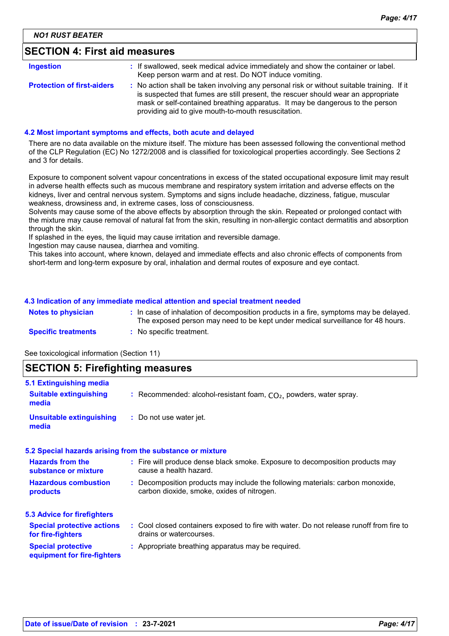## **SECTION 4: First aid measures**

| <b>Ingestion</b>                  | : If swallowed, seek medical advice immediately and show the container or label.<br>Keep person warm and at rest. Do NOT induce vomiting.                                                                                                                        |
|-----------------------------------|------------------------------------------------------------------------------------------------------------------------------------------------------------------------------------------------------------------------------------------------------------------|
| <b>Protection of first-aiders</b> | : No action shall be taken involving any personal risk or without suitable training. If it<br>is suspected that fumes are still present, the rescuer should wear an appropriate<br>mask or self-contained breathing apparatus. It may be dangerous to the person |
|                                   | providing aid to give mouth-to-mouth resuscitation.                                                                                                                                                                                                              |

#### **4.2 Most important symptoms and effects, both acute and delayed**

There are no data available on the mixture itself. The mixture has been assessed following the conventional method of the CLP Regulation (EC) No 1272/2008 and is classified for toxicological properties accordingly. See Sections 2 and 3 for details.

Exposure to component solvent vapour concentrations in excess of the stated occupational exposure limit may result in adverse health effects such as mucous membrane and respiratory system irritation and adverse effects on the kidneys, liver and central nervous system. Symptoms and signs include headache, dizziness, fatigue, muscular weakness, drowsiness and, in extreme cases, loss of consciousness.

Solvents may cause some of the above effects by absorption through the skin. Repeated or prolonged contact with the mixture may cause removal of natural fat from the skin, resulting in non-allergic contact dermatitis and absorption through the skin.

If splashed in the eyes, the liquid may cause irritation and reversible damage.

Ingestion may cause nausea, diarrhea and vomiting.

This takes into account, where known, delayed and immediate effects and also chronic effects of components from short-term and long-term exposure by oral, inhalation and dermal routes of exposure and eye contact.

#### **4.3 Indication of any immediate medical attention and special treatment needed**

| <b>Notes to physician</b>  | : In case of inhalation of decomposition products in a fire, symptoms may be delayed.<br>The exposed person may need to be kept under medical surveillance for 48 hours. |
|----------------------------|--------------------------------------------------------------------------------------------------------------------------------------------------------------------------|
| <b>Specific treatments</b> | $:$ No specific treatment.                                                                                                                                               |

See toxicological information (Section 11)

| <b>SECTION 5: Firefighting measures</b>                           |                                                                                                                              |  |
|-------------------------------------------------------------------|------------------------------------------------------------------------------------------------------------------------------|--|
| 5.1 Extinguishing media<br><b>Suitable extinguishing</b><br>media | : Recommended: alcohol-resistant foam, $CO2$ , powders, water spray.                                                         |  |
| <b>Unsuitable extinguishing</b><br>media                          | : Do not use water jet.                                                                                                      |  |
|                                                                   | 5.2 Special hazards arising from the substance or mixture                                                                    |  |
| <b>Hazards from the</b><br>substance or mixture                   | : Fire will produce dense black smoke. Exposure to decomposition products may<br>cause a health hazard.                      |  |
| <b>Hazardous combustion</b><br>products                           | : Decomposition products may include the following materials: carbon monoxide,<br>carbon dioxide, smoke, oxides of nitrogen. |  |
| <b>5.3 Advice for firefighters</b>                                |                                                                                                                              |  |
| <b>Special protective actions</b><br>for fire-fighters            | : Cool closed containers exposed to fire with water. Do not release runoff from fire to<br>drains or watercourses.           |  |
| <b>Special protective</b><br>equipment for fire-fighters          | : Appropriate breathing apparatus may be required.                                                                           |  |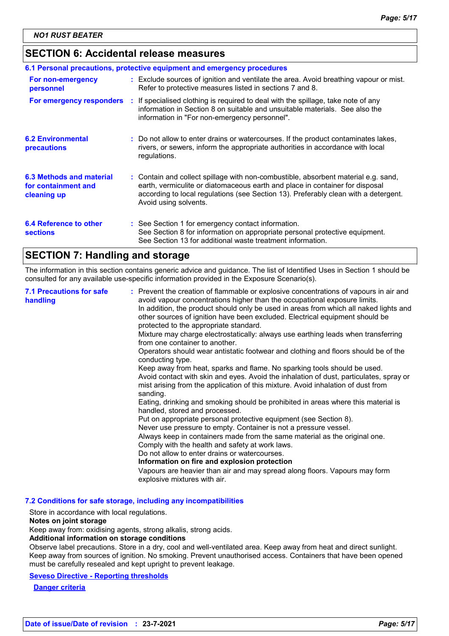## **SECTION 6: Accidental release measures**

| 6.1 Personal precautions, protective equipment and emergency procedures |  |                                                                                                                                                                                                                                                                                    |  |
|-------------------------------------------------------------------------|--|------------------------------------------------------------------------------------------------------------------------------------------------------------------------------------------------------------------------------------------------------------------------------------|--|
| For non-emergency<br>personnel                                          |  | : Exclude sources of ignition and ventilate the area. Avoid breathing vapour or mist.<br>Refer to protective measures listed in sections 7 and 8.                                                                                                                                  |  |
| For emergency responders                                                |  | : If specialised clothing is required to deal with the spillage, take note of any<br>information in Section 8 on suitable and unsuitable materials. See also the<br>information in "For non-emergency personnel".                                                                  |  |
| <b>6.2 Environmental</b><br>precautions                                 |  | : Do not allow to enter drains or watercourses. If the product contaminates lakes,<br>rivers, or sewers, inform the appropriate authorities in accordance with local<br>regulations.                                                                                               |  |
| 6.3 Methods and material<br>for containment and<br>cleaning up          |  | : Contain and collect spillage with non-combustible, absorbent material e.g. sand,<br>earth, vermiculite or diatomaceous earth and place in container for disposal<br>according to local regulations (see Section 13). Preferably clean with a detergent.<br>Avoid using solvents. |  |
| 6.4 Reference to other<br><b>sections</b>                               |  | : See Section 1 for emergency contact information.<br>See Section 8 for information on appropriate personal protective equipment.<br>See Section 13 for additional waste treatment information.                                                                                    |  |

## **SECTION 7: Handling and storage**

The information in this section contains generic advice and guidance. The list of Identified Uses in Section 1 should be consulted for any available use-specific information provided in the Exposure Scenario(s).

| Operators should wear antistatic footwear and clothing and floors should be of the<br>conducting type.<br>Keep away from heat, sparks and flame. No sparking tools should be used.<br>Avoid contact with skin and eyes. Avoid the inhalation of dust, particulates, spray or<br>mist arising from the application of this mixture. Avoid inhalation of dust from<br>sanding.<br>Eating, drinking and smoking should be prohibited in areas where this material is<br>handled, stored and processed.<br>Put on appropriate personal protective equipment (see Section 8).<br>Never use pressure to empty. Container is not a pressure vessel.<br>Always keep in containers made from the same material as the original one.<br>Comply with the health and safety at work laws.<br>Do not allow to enter drains or watercourses.<br>Information on fire and explosion protection<br>Vapours are heavier than air and may spread along floors. Vapours may form<br>explosive mixtures with air. | <b>7.1 Precautions for safe</b><br>handling | : Prevent the creation of flammable or explosive concentrations of vapours in air and<br>avoid vapour concentrations higher than the occupational exposure limits.<br>In addition, the product should only be used in areas from which all naked lights and<br>other sources of ignition have been excluded. Electrical equipment should be<br>protected to the appropriate standard.<br>Mixture may charge electrostatically: always use earthing leads when transferring<br>from one container to another. |
|----------------------------------------------------------------------------------------------------------------------------------------------------------------------------------------------------------------------------------------------------------------------------------------------------------------------------------------------------------------------------------------------------------------------------------------------------------------------------------------------------------------------------------------------------------------------------------------------------------------------------------------------------------------------------------------------------------------------------------------------------------------------------------------------------------------------------------------------------------------------------------------------------------------------------------------------------------------------------------------------|---------------------------------------------|--------------------------------------------------------------------------------------------------------------------------------------------------------------------------------------------------------------------------------------------------------------------------------------------------------------------------------------------------------------------------------------------------------------------------------------------------------------------------------------------------------------|
|----------------------------------------------------------------------------------------------------------------------------------------------------------------------------------------------------------------------------------------------------------------------------------------------------------------------------------------------------------------------------------------------------------------------------------------------------------------------------------------------------------------------------------------------------------------------------------------------------------------------------------------------------------------------------------------------------------------------------------------------------------------------------------------------------------------------------------------------------------------------------------------------------------------------------------------------------------------------------------------------|---------------------------------------------|--------------------------------------------------------------------------------------------------------------------------------------------------------------------------------------------------------------------------------------------------------------------------------------------------------------------------------------------------------------------------------------------------------------------------------------------------------------------------------------------------------------|

**7.2 Conditions for safe storage, including any incompatibilities**

Store in accordance with local regulations.

#### **Notes on joint storage**

Keep away from: oxidising agents, strong alkalis, strong acids.

#### **Additional information on storage conditions**

Observe label precautions. Store in a dry, cool and well-ventilated area. Keep away from heat and direct sunlight. Keep away from sources of ignition. No smoking. Prevent unauthorised access. Containers that have been opened must be carefully resealed and kept upright to prevent leakage.

**Seveso Directive - Reporting thresholds**

**Danger criteria**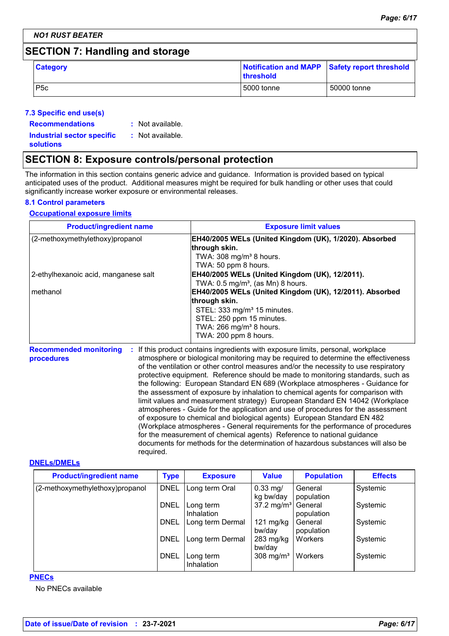## **SECTION 7: Handling and storage**

| <b>Category</b> | Notification and MAPP Safety report threshold<br><b>Ithreshold</b> |             |
|-----------------|--------------------------------------------------------------------|-------------|
| P <sub>5c</sub> | l 5000 tonne                                                       | 50000 tonne |

## **7.3 Specific end use(s)**

| <b>Recommendations</b>            | : Not available. |
|-----------------------------------|------------------|
| <b>Industrial sector specific</b> | : Not available. |
| <b>solutions</b>                  |                  |

## **SECTION 8: Exposure controls/personal protection**

The information in this section contains generic advice and guidance. Information is provided based on typical anticipated uses of the product. Additional measures might be required for bulk handling or other uses that could significantly increase worker exposure or environmental releases.

## **8.1 Control parameters**

## **Occupational exposure limits**

| <b>Product/ingredient name</b>       | <b>Exposure limit values</b>                            |
|--------------------------------------|---------------------------------------------------------|
| (2-methoxymethylethoxy)propanol      | EH40/2005 WELs (United Kingdom (UK), 1/2020). Absorbed  |
|                                      | through skin.                                           |
|                                      | TWA: 308 mg/m <sup>3</sup> 8 hours.                     |
|                                      | TWA: 50 ppm 8 hours.                                    |
| 2-ethylhexanoic acid, manganese salt | EH40/2005 WELs (United Kingdom (UK), 12/2011).          |
|                                      | TWA: $0.5 \text{ mg/m}^3$ , (as Mn) 8 hours.            |
| methanol                             | EH40/2005 WELs (United Kingdom (UK), 12/2011). Absorbed |
|                                      | through skin.                                           |
|                                      | STEL: 333 mg/m <sup>3</sup> 15 minutes.                 |
|                                      | STEL: 250 ppm 15 minutes.                               |
|                                      | TWA: 266 mg/m <sup>3</sup> 8 hours.                     |
|                                      | TWA: 200 ppm 8 hours.                                   |

**Recommended monitoring procedures :** If this product contains ingredients with exposure limits, personal, workplace atmosphere or biological monitoring may be required to determine the effectiveness of the ventilation or other control measures and/or the necessity to use respiratory protective equipment. Reference should be made to monitoring standards, such as the following: European Standard EN 689 (Workplace atmospheres - Guidance for the assessment of exposure by inhalation to chemical agents for comparison with limit values and measurement strategy) European Standard EN 14042 (Workplace atmospheres - Guide for the application and use of procedures for the assessment of exposure to chemical and biological agents) European Standard EN 482 (Workplace atmospheres - General requirements for the performance of procedures for the measurement of chemical agents) Reference to national guidance documents for methods for the determination of hazardous substances will also be required.

#### **DNELs/DMELs**

| <b>Product/ingredient name</b>  | <b>Type</b> | <b>Exposure</b>                | <b>Value</b>            | <b>Population</b>     | <b>Effects</b> |
|---------------------------------|-------------|--------------------------------|-------------------------|-----------------------|----------------|
| (2-methoxymethylethoxy)propanol | <b>DNEL</b> | Long term Oral                 | $0.33$ mg/<br>kg bw/day | General<br>population | Systemic       |
|                                 | <b>DNEL</b> | Long term<br><b>Inhalation</b> | 37.2 mg/m <sup>3</sup>  | General<br>population | Systemic       |
|                                 | <b>DNEL</b> | Long term Dermal               | $121$ mg/kg<br>bw/day   | General<br>population | Systemic       |
|                                 | <b>DNEL</b> | Long term Dermal               | $283$ mg/kg<br>bw/day   | Workers               | Systemic       |
|                                 | <b>DNEL</b> | Long term<br>Inhalation        | 308 mg/m <sup>3</sup>   | Workers               | Systemic       |

#### **PNECs**

No PNECs available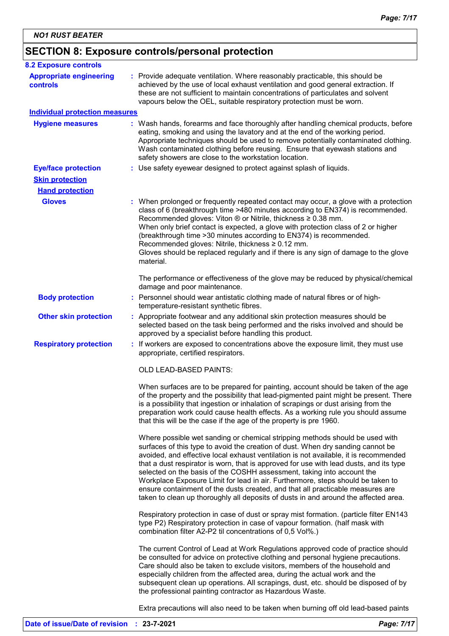# **SECTION 8: Exposure controls/personal protection**

| <b>8.2 Exposure controls</b>               |                                                                                                                                                                                                                                                                                                                                                                                                                                                                                                                                                                                                                                                                                         |
|--------------------------------------------|-----------------------------------------------------------------------------------------------------------------------------------------------------------------------------------------------------------------------------------------------------------------------------------------------------------------------------------------------------------------------------------------------------------------------------------------------------------------------------------------------------------------------------------------------------------------------------------------------------------------------------------------------------------------------------------------|
| <b>Appropriate engineering</b><br>controls | : Provide adequate ventilation. Where reasonably practicable, this should be<br>achieved by the use of local exhaust ventilation and good general extraction. If<br>these are not sufficient to maintain concentrations of particulates and solvent<br>vapours below the OEL, suitable respiratory protection must be worn.                                                                                                                                                                                                                                                                                                                                                             |
| <b>Individual protection measures</b>      |                                                                                                                                                                                                                                                                                                                                                                                                                                                                                                                                                                                                                                                                                         |
| <b>Hygiene measures</b>                    | : Wash hands, forearms and face thoroughly after handling chemical products, before<br>eating, smoking and using the lavatory and at the end of the working period.<br>Appropriate techniques should be used to remove potentially contaminated clothing.<br>Wash contaminated clothing before reusing. Ensure that eyewash stations and<br>safety showers are close to the workstation location.                                                                                                                                                                                                                                                                                       |
| <b>Eye/face protection</b>                 | : Use safety eyewear designed to protect against splash of liquids.                                                                                                                                                                                                                                                                                                                                                                                                                                                                                                                                                                                                                     |
| <b>Skin protection</b>                     |                                                                                                                                                                                                                                                                                                                                                                                                                                                                                                                                                                                                                                                                                         |
| <b>Hand protection</b>                     |                                                                                                                                                                                                                                                                                                                                                                                                                                                                                                                                                                                                                                                                                         |
| <b>Gloves</b>                              | : When prolonged or frequently repeated contact may occur, a glove with a protection<br>class of 6 (breakthrough time >480 minutes according to EN374) is recommended.<br>Recommended gloves: Viton ® or Nitrile, thickness ≥ 0.38 mm.<br>When only brief contact is expected, a glove with protection class of 2 or higher<br>(breakthrough time > 30 minutes according to EN374) is recommended.<br>Recommended gloves: Nitrile, thickness ≥ 0.12 mm.<br>Gloves should be replaced regularly and if there is any sign of damage to the glove<br>material.                                                                                                                             |
|                                            | The performance or effectiveness of the glove may be reduced by physical/chemical<br>damage and poor maintenance.                                                                                                                                                                                                                                                                                                                                                                                                                                                                                                                                                                       |
| <b>Body protection</b>                     | : Personnel should wear antistatic clothing made of natural fibres or of high-<br>temperature-resistant synthetic fibres.                                                                                                                                                                                                                                                                                                                                                                                                                                                                                                                                                               |
| <b>Other skin protection</b>               | : Appropriate footwear and any additional skin protection measures should be<br>selected based on the task being performed and the risks involved and should be<br>approved by a specialist before handling this product.                                                                                                                                                                                                                                                                                                                                                                                                                                                               |
| <b>Respiratory protection</b>              | : If workers are exposed to concentrations above the exposure limit, they must use<br>appropriate, certified respirators.                                                                                                                                                                                                                                                                                                                                                                                                                                                                                                                                                               |
|                                            | OLD LEAD-BASED PAINTS:                                                                                                                                                                                                                                                                                                                                                                                                                                                                                                                                                                                                                                                                  |
|                                            | When surfaces are to be prepared for painting, account should be taken of the age<br>of the property and the possibility that lead-pigmented paint might be present. There<br>is a possibility that ingestion or inhalation of scrapings or dust arising from the<br>preparation work could cause health effects. As a working rule you should assume<br>that this will be the case if the age of the property is pre 1960.                                                                                                                                                                                                                                                             |
|                                            | Where possible wet sanding or chemical stripping methods should be used with<br>surfaces of this type to avoid the creation of dust. When dry sanding cannot be<br>avoided, and effective local exhaust ventilation is not available, it is recommended<br>that a dust respirator is worn, that is approved for use with lead dusts, and its type<br>selected on the basis of the COSHH assessment, taking into account the<br>Workplace Exposure Limit for lead in air. Furthermore, steps should be taken to<br>ensure containment of the dusts created, and that all practicable measures are<br>taken to clean up thoroughly all deposits of dusts in and around the affected area. |
|                                            | Respiratory protection in case of dust or spray mist formation. (particle filter EN143<br>type P2) Respiratory protection in case of vapour formation. (half mask with<br>combination filter A2-P2 til concentrations of 0,5 Vol%.)                                                                                                                                                                                                                                                                                                                                                                                                                                                     |
|                                            | The current Control of Lead at Work Regulations approved code of practice should<br>be consulted for advice on protective clothing and personal hygiene precautions.<br>Care should also be taken to exclude visitors, members of the household and<br>especially children from the affected area, during the actual work and the<br>subsequent clean up operations. All scrapings, dust, etc. should be disposed of by<br>the professional painting contractor as Hazardous Waste.                                                                                                                                                                                                     |
|                                            | Extra precautions will also need to be taken when burning off old lead-based paints                                                                                                                                                                                                                                                                                                                                                                                                                                                                                                                                                                                                     |

**Date of issue/Date of revision : 23-7-2021** *Page: 7/17*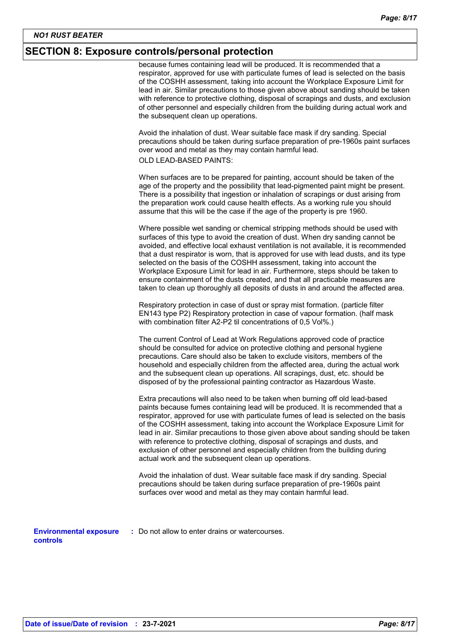## **SECTION 8: Exposure controls/personal protection**

because fumes containing lead will be produced. It is recommended that a respirator, approved for use with particulate fumes of lead is selected on the basis of the COSHH assessment, taking into account the Workplace Exposure Limit for lead in air. Similar precautions to those given above about sanding should be taken with reference to protective clothing, disposal of scrapings and dusts, and exclusion of other personnel and especially children from the building during actual work and the subsequent clean up operations.

Avoid the inhalation of dust. Wear suitable face mask if dry sanding. Special precautions should be taken during surface preparation of pre-1960s paint surfaces over wood and metal as they may contain harmful lead.

OLD LEAD-BASED PAINTS:

When surfaces are to be prepared for painting, account should be taken of the age of the property and the possibility that lead-pigmented paint might be present. There is a possibility that ingestion or inhalation of scrapings or dust arising from the preparation work could cause health effects. As a working rule you should assume that this will be the case if the age of the property is pre 1960.

Where possible wet sanding or chemical stripping methods should be used with surfaces of this type to avoid the creation of dust. When dry sanding cannot be avoided, and effective local exhaust ventilation is not available, it is recommended that a dust respirator is worn, that is approved for use with lead dusts, and its type selected on the basis of the COSHH assessment, taking into account the Workplace Exposure Limit for lead in air. Furthermore, steps should be taken to ensure containment of the dusts created, and that all practicable measures are taken to clean up thoroughly all deposits of dusts in and around the affected area.

Respiratory protection in case of dust or spray mist formation. (particle filter EN143 type P2) Respiratory protection in case of vapour formation. (half mask with combination filter A2-P2 til concentrations of 0,5 Vol%.)

The current Control of Lead at Work Regulations approved code of practice should be consulted for advice on protective clothing and personal hygiene precautions. Care should also be taken to exclude visitors, members of the household and especially children from the affected area, during the actual work and the subsequent clean up operations. All scrapings, dust, etc. should be disposed of by the professional painting contractor as Hazardous Waste.

Extra precautions will also need to be taken when burning off old lead-based paints because fumes containing lead will be produced. It is recommended that a respirator, approved for use with particulate fumes of lead is selected on the basis of the COSHH assessment, taking into account the Workplace Exposure Limit for lead in air. Similar precautions to those given above about sanding should be taken with reference to protective clothing, disposal of scrapings and dusts, and exclusion of other personnel and especially children from the building during actual work and the subsequent clean up operations.

Avoid the inhalation of dust. Wear suitable face mask if dry sanding. Special precautions should be taken during surface preparation of pre-1960s paint surfaces over wood and metal as they may contain harmful lead.

**Environmental exposure :** Do not allow to enter drains or watercourses. **controls**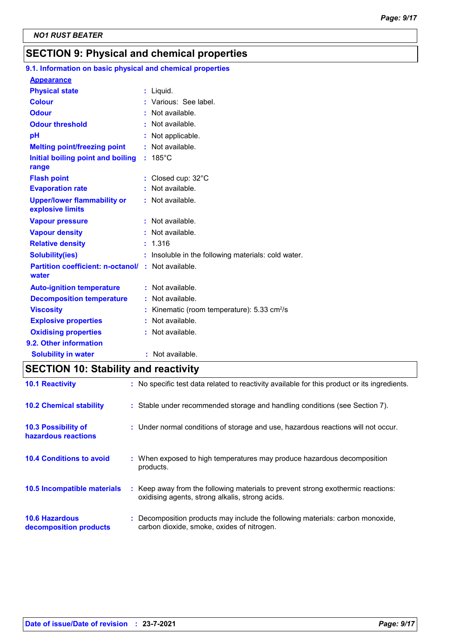## **SECTION 9: Physical and chemical properties**

# **9.1. Information on basic physical and chemical properties**

| <b>Appearance</b>                        |                                                       |
|------------------------------------------|-------------------------------------------------------|
| <b>Physical state</b>                    | : Liquid.                                             |
| <b>Colour</b>                            | : Various: See label.                                 |
| <b>Odour</b>                             | : Not available.                                      |
| <b>Odour threshold</b>                   | : Not available.                                      |
| pH                                       | : Not applicable.                                     |
| <b>Melting point/freezing point</b>      | : Not available.                                      |
| Initial boiling point and boiling        | $: 185^{\circ}$ C                                     |
| range                                    |                                                       |
| <b>Flash point</b>                       | : Closed cup: 32°C                                    |
| <b>Evaporation rate</b>                  | : Not available.                                      |
| <b>Upper/lower flammability or</b>       | : Not available.                                      |
| explosive limits                         |                                                       |
| <b>Vapour pressure</b>                   | : Not available.                                      |
| <b>Vapour density</b>                    | : Not available.                                      |
| <b>Relative density</b>                  | : 1.316                                               |
| <b>Solubility(ies)</b>                   | : Insoluble in the following materials: cold water.   |
| <b>Partition coefficient: n-octanol/</b> | : Not available.                                      |
| water                                    |                                                       |
| <b>Auto-ignition temperature</b>         | : Not available.                                      |
| <b>Decomposition temperature</b>         | Not available.                                        |
| <b>Viscosity</b>                         | Kinematic (room temperature): 5.33 cm <sup>2</sup> /s |
| <b>Explosive properties</b>              | Not available.                                        |
| <b>Oxidising properties</b>              | : Not available.                                      |
| 9.2. Other information                   |                                                       |
| <b>Solubility in water</b>               | $:$ Not available.                                    |

# **SECTION 10: Stability and reactivity**

| <b>10.1 Reactivity</b>                            | : No specific test data related to reactivity available for this product or its ingredients.                                        |
|---------------------------------------------------|-------------------------------------------------------------------------------------------------------------------------------------|
| <b>10.2 Chemical stability</b>                    | : Stable under recommended storage and handling conditions (see Section 7).                                                         |
| <b>10.3 Possibility of</b><br>hazardous reactions | : Under normal conditions of storage and use, hazardous reactions will not occur.                                                   |
| <b>10.4 Conditions to avoid</b>                   | : When exposed to high temperatures may produce hazardous decomposition<br>products.                                                |
| 10.5 Incompatible materials                       | : Keep away from the following materials to prevent strong exothermic reactions:<br>oxidising agents, strong alkalis, strong acids. |
| <b>10.6 Hazardous</b><br>decomposition products   | : Decomposition products may include the following materials: carbon monoxide,<br>carbon dioxide, smoke, oxides of nitrogen.        |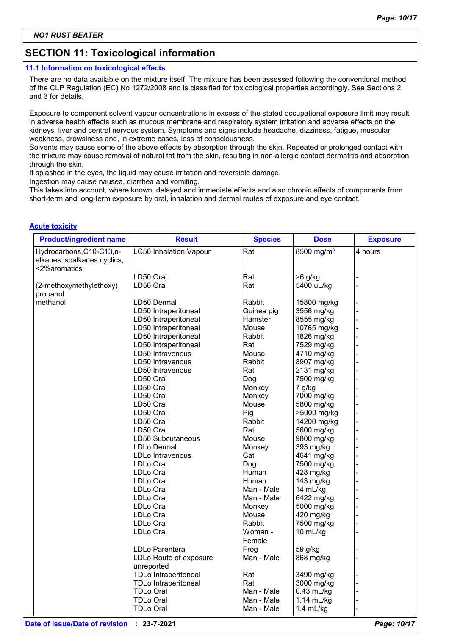## **SECTION 11: Toxicological information**

#### **11.1 Information on toxicological effects**

There are no data available on the mixture itself. The mixture has been assessed following the conventional method of the CLP Regulation (EC) No 1272/2008 and is classified for toxicological properties accordingly. See Sections 2 and 3 for details.

Exposure to component solvent vapour concentrations in excess of the stated occupational exposure limit may result in adverse health effects such as mucous membrane and respiratory system irritation and adverse effects on the kidneys, liver and central nervous system. Symptoms and signs include headache, dizziness, fatigue, muscular weakness, drowsiness and, in extreme cases, loss of consciousness.

Solvents may cause some of the above effects by absorption through the skin. Repeated or prolonged contact with the mixture may cause removal of natural fat from the skin, resulting in non-allergic contact dermatitis and absorption through the skin.

If splashed in the eyes, the liquid may cause irritation and reversible damage.

Ingestion may cause nausea, diarrhea and vomiting.

This takes into account, where known, delayed and immediate effects and also chronic effects of components from short-term and long-term exposure by oral, inhalation and dermal routes of exposure and eye contact.

#### **Acute toxicity**

| <b>Product/ingredient name</b>                                             | <b>Result</b>                        | <b>Species</b>    | <b>Dose</b>            | <b>Exposure</b> |
|----------------------------------------------------------------------------|--------------------------------------|-------------------|------------------------|-----------------|
| Hydrocarbons, C10-C13, n-<br>alkanes, isoalkanes, cyclics,<br><2%aromatics | <b>LC50 Inhalation Vapour</b>        | Rat               | 8500 mg/m <sup>3</sup> | 4 hours         |
|                                                                            | LD50 Oral                            | Rat               | $>6$ g/kg              |                 |
| (2-methoxymethylethoxy)<br>propanol                                        | LD50 Oral                            | Rat               | 5400 uL/kg             |                 |
| methanol                                                                   | LD50 Dermal                          | Rabbit            | 15800 mg/kg            |                 |
|                                                                            | LD50 Intraperitoneal                 | Guinea pig        | 3556 mg/kg             |                 |
|                                                                            | LD50 Intraperitoneal                 | Hamster           | 8555 mg/kg             |                 |
|                                                                            | LD50 Intraperitoneal                 | Mouse             | 10765 mg/kg            |                 |
|                                                                            | LD50 Intraperitoneal                 | Rabbit            | 1826 mg/kg             |                 |
|                                                                            | LD50 Intraperitoneal                 | Rat               | 7529 mg/kg             |                 |
|                                                                            | LD50 Intravenous                     | Mouse             | 4710 mg/kg             |                 |
|                                                                            | LD50 Intravenous                     | Rabbit            | 8907 mg/kg             |                 |
|                                                                            | LD50 Intravenous                     | Rat               | 2131 mg/kg             |                 |
|                                                                            | LD50 Oral                            | Dog               | 7500 mg/kg             |                 |
|                                                                            | LD50 Oral                            | Monkey            | 7 g/kg                 |                 |
|                                                                            | LD50 Oral                            | Monkey            | 7000 mg/kg             |                 |
|                                                                            | LD50 Oral                            | Mouse             | 5800 mg/kg             |                 |
|                                                                            | LD50 Oral                            | Pig               | >5000 mg/kg            |                 |
|                                                                            | LD50 Oral                            | Rabbit            | 14200 mg/kg            |                 |
|                                                                            | LD50 Oral                            | Rat               | 5600 mg/kg             |                 |
|                                                                            | LD50 Subcutaneous                    | Mouse             | 9800 mg/kg             |                 |
|                                                                            | LDLo Dermal                          | Monkey            | 393 mg/kg              |                 |
|                                                                            | LDLo Intravenous                     | Cat               | 4641 mg/kg             |                 |
|                                                                            | LDLo Oral                            | Dog               | 7500 mg/kg             |                 |
|                                                                            | LDLo Oral                            | Human             | 428 mg/kg              |                 |
|                                                                            | LDLo Oral                            | Human             | 143 mg/kg              |                 |
|                                                                            | LDLo Oral                            | Man - Male        | 14 mL/kg               |                 |
|                                                                            | LDLo Oral                            | Man - Male        | 6422 mg/kg             |                 |
|                                                                            | LDLo Oral                            | Monkey            | 5000 mg/kg             |                 |
|                                                                            | LDLo Oral                            | Mouse             | 420 mg/kg              |                 |
|                                                                            | LDLo Oral                            | Rabbit            | 7500 mg/kg             |                 |
|                                                                            | LDLo Oral                            | Woman -<br>Female | 10 mL/kg               |                 |
|                                                                            | <b>LDLo Parenteral</b>               | Frog              | 59 g/kg                |                 |
|                                                                            | LDLo Route of exposure<br>unreported | Man - Male        | 868 mg/kg              |                 |
|                                                                            | <b>TDLo Intraperitoneal</b>          | Rat               | 3490 mg/kg             |                 |
|                                                                            | <b>TDLo Intraperitoneal</b>          | Rat               | 3000 mg/kg             |                 |
|                                                                            | <b>TDLo Oral</b>                     | Man - Male        | $0.43$ mL/kg           |                 |
|                                                                            | TDLo Oral                            | Man - Male        | 1.14 mL/kg             |                 |
|                                                                            | TDLo Oral                            | Man - Male        | 1.4 mL/kg              |                 |
|                                                                            |                                      |                   |                        |                 |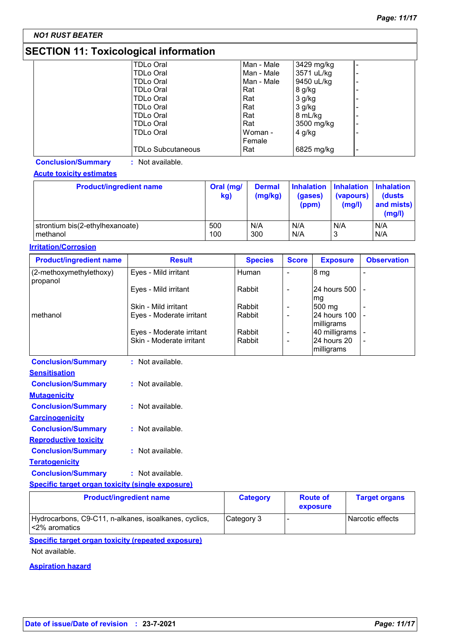# **SECTION 11: Toxicological information**

| <b>TDLo Oral</b>         | Man - Male | 3429 mg/kg |                          |
|--------------------------|------------|------------|--------------------------|
| <b>TDLo Oral</b>         | Man - Male | 3571 uL/kg | ۰                        |
| <b>TDLo Oral</b>         | Man - Male | 9450 uL/kg |                          |
| <b>TDLo Oral</b>         | Rat        | 8 g/kg     |                          |
| <b>TDLo Oral</b>         | Rat        | 3 g/kg     |                          |
| <b>TDLo Oral</b>         | Rat        | 3 g/kg     | ۰                        |
| <b>TDLo Oral</b>         | Rat        | 8 mL/kg    | $\overline{\phantom{0}}$ |
| <b>TDLo Oral</b>         | Rat        | 3500 mg/kg | -                        |
| <b>TDLo Oral</b>         | Woman -    | $4$ g/kg   |                          |
|                          | Female     |            |                          |
| <b>TDLo Subcutaneous</b> | Rat        | 6825 mg/kg | $\overline{\phantom{a}}$ |

**Conclusion/Summary :** Not available.

## **Acute toxicity estimates**

| <b>Product/ingredient name</b>  | Oral (mg/<br>kg) | <b>Dermal</b><br>(mg/kg) | (gases)<br>(ppm) | Inhalation Inhalation Inhalation<br>(vapours)<br>(mg/l) | <b>(dusts)</b><br>and mists)<br>(mg/l) |
|---------------------------------|------------------|--------------------------|------------------|---------------------------------------------------------|----------------------------------------|
| strontium bis(2-ethylhexanoate) | 500              | N/A                      | N/A              | N/A                                                     | N/A                                    |
| methanol                        | 100              | 300                      | N/A              | J                                                       | N/A                                    |

## **Irritation/Corrosion**

| <b>Product/ingredient name</b>      | <b>Result</b>            | <b>Species</b> | <b>Score</b>             | <b>Exposure</b>                  | <b>Observation</b> |
|-------------------------------------|--------------------------|----------------|--------------------------|----------------------------------|--------------------|
| (2-methoxymethylethoxy)<br>propanol | Eyes - Mild irritant     | Human          | ٠                        | 8 <sub>mg</sub>                  |                    |
|                                     | Eyes - Mild irritant     | Rabbit         | $\overline{\phantom{0}}$ | 124 hours 500 1 -<br>mg          |                    |
|                                     | Skin - Mild irritant     | Rabbit         | ٠                        | $ 500 \text{ mg} $               |                    |
| methanol                            | Eyes - Moderate irritant | Rabbit         | $\overline{\phantom{0}}$ | I24 hours 100 I -<br> milligrams |                    |
|                                     | Eyes - Moderate irritant | Rabbit         | ٠                        | 40 milligrams -                  |                    |
|                                     | Skin - Moderate irritant | Rabbit         | $\overline{\phantom{0}}$ | l24 hours 20<br>milligrams       |                    |

| <b>Conclusion/Summary</b>    | Not available.       |
|------------------------------|----------------------|
| Sensitisation                |                      |
| <b>Conclusion/Summary</b>    | Not available.       |
| <b>Mutagenicity</b>          |                      |
| <b>Conclusion/Summary</b>    | $:$ Not available.   |
| <b>Carcinogenicity</b>       |                      |
| <b>Conclusion/Summary</b>    | Not available.       |
| <b>Reproductive toxicity</b> |                      |
| <b>Conclusion/Summary</b>    | Not available.<br>t. |
| <b>Teratogenicity</b>        |                      |
| <b>Conclusion/Summary</b>    | $:$ Not available.   |
|                              |                      |

## **Specific target organ toxicity (single exposure)**

| <b>Product/ingredient name</b>                                             | <b>Category</b> | <b>Route of</b><br>exposure | <b>Target organs</b> |
|----------------------------------------------------------------------------|-----------------|-----------------------------|----------------------|
| Hydrocarbons, C9-C11, n-alkanes, isoalkanes, cyclics,<br>$ $ <2% aromatics | Category 3      |                             | Narcotic effects     |

**Specific target organ toxicity (repeated exposure)**

Not available.

**Aspiration hazard**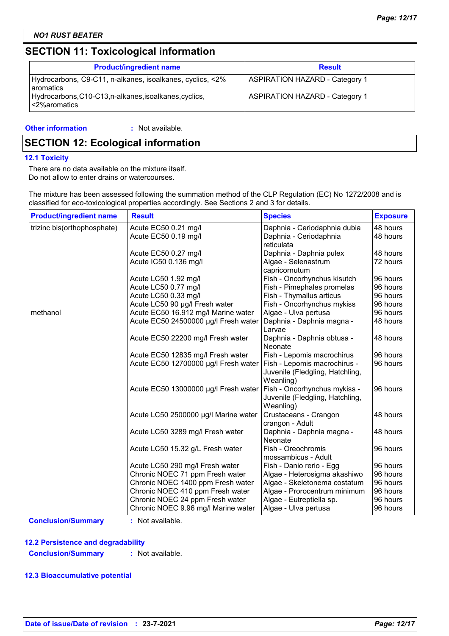## **SECTION 11: Toxicological information**

| <b>Product/ingredient name</b>                                                  | <b>Result</b>                         |
|---------------------------------------------------------------------------------|---------------------------------------|
| Hydrocarbons, C9-C11, n-alkanes, isoalkanes, cyclics, <2%<br><b>l</b> aromatics | <b>ASPIRATION HAZARD - Category 1</b> |
| Hydrocarbons, C10-C13, n-alkanes, isoalkanes, cyclics,<br>l<2%aromatics         | <b>ASPIRATION HAZARD - Category 1</b> |

#### **Other information :** : Not available.

## **SECTION 12: Ecological information**

#### **12.1 Toxicity**

There are no data available on the mixture itself. Do not allow to enter drains or watercourses.

The mixture has been assessed following the summation method of the CLP Regulation (EC) No 1272/2008 and is classified for eco-toxicological properties accordingly. See Sections 2 and 3 for details.

| <b>Product/ingredient name</b> | <b>Result</b>                        | <b>Species</b>                                                               | <b>Exposure</b> |
|--------------------------------|--------------------------------------|------------------------------------------------------------------------------|-----------------|
| trizinc bis(orthophosphate)    | Acute EC50 0.21 mg/l                 | Daphnia - Ceriodaphnia dubia                                                 | 48 hours        |
|                                | Acute EC50 0.19 mg/l                 | Daphnia - Ceriodaphnia<br>reticulata                                         | 48 hours        |
|                                | Acute EC50 0.27 mg/l                 | Daphnia - Daphnia pulex                                                      | 48 hours        |
|                                | Acute IC50 0.136 mg/l                | Algae - Selenastrum<br>capricornutum                                         | 72 hours        |
|                                | Acute LC50 1.92 mg/l                 | Fish - Oncorhynchus kisutch                                                  | 96 hours        |
|                                | Acute LC50 0.77 mg/l                 | Fish - Pimephales promelas                                                   | 96 hours        |
|                                | Acute LC50 0.33 mg/l                 | Fish - Thymallus articus                                                     | 96 hours        |
|                                | Acute LC50 90 µg/l Fresh water       | Fish - Oncorhynchus mykiss                                                   | 96 hours        |
| methanol                       | Acute EC50 16.912 mg/l Marine water  | Algae - Ulva pertusa                                                         | 96 hours        |
|                                | Acute EC50 24500000 µg/l Fresh water | Daphnia - Daphnia magna -<br>Larvae                                          | 48 hours        |
|                                | Acute EC50 22200 mg/l Fresh water    | Daphnia - Daphnia obtusa -<br>Neonate                                        | 48 hours        |
|                                | Acute EC50 12835 mg/l Fresh water    | Fish - Lepomis macrochirus                                                   | 96 hours        |
|                                | Acute EC50 12700000 µg/l Fresh water | Fish - Lepomis macrochirus -<br>Juvenile (Fledgling, Hatchling,<br>Weanling) | 96 hours        |
|                                | Acute EC50 13000000 µg/l Fresh water | Fish - Oncorhynchus mykiss -<br>Juvenile (Fledgling, Hatchling,<br>Weanling) | 96 hours        |
|                                | Acute LC50 2500000 µg/l Marine water | Crustaceans - Crangon<br>crangon - Adult                                     | 48 hours        |
|                                | Acute LC50 3289 mg/l Fresh water     | Daphnia - Daphnia magna -<br>Neonate                                         | 48 hours        |
|                                | Acute LC50 15.32 g/L Fresh water     | Fish - Oreochromis<br>mossambicus - Adult                                    | 96 hours        |
|                                | Acute LC50 290 mg/l Fresh water      | Fish - Danio rerio - Egg                                                     | 96 hours        |
|                                | Chronic NOEC 71 ppm Fresh water      | Algae - Heterosigma akashiwo                                                 | 96 hours        |
|                                | Chronic NOEC 1400 ppm Fresh water    | Algae - Skeletonema costatum                                                 | 96 hours        |
|                                | Chronic NOEC 410 ppm Fresh water     | Algae - Prorocentrum minimum                                                 | 96 hours        |
|                                | Chronic NOEC 24 ppm Fresh water      | Algae - Eutreptiella sp.                                                     | 96 hours        |
|                                | Chronic NOEC 9.96 mg/l Marine water  | Algae - Ulva pertusa                                                         | 96 hours        |

**Conclusion/Summary :** Not available.

## **12.2 Persistence and degradability**

**Conclusion/Summary :** Not available.

### **12.3 Bioaccumulative potential**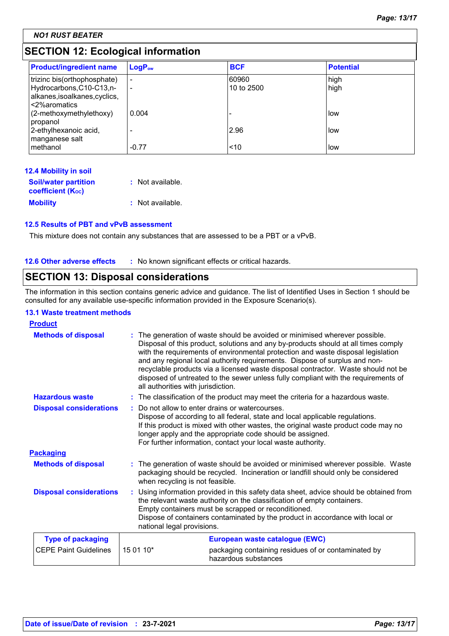## **SECTION 12: Ecological information**

| <b>Product/ingredient name</b>                                                                            | $LogPow$                      | <b>BCF</b>          | <b>Potential</b> |
|-----------------------------------------------------------------------------------------------------------|-------------------------------|---------------------|------------------|
| trizinc bis(orthophosphate)<br>Hydrocarbons, C10-C13, n-<br>alkanes, isoalkanes, cyclics,<br><2%aromatics | $\overline{\phantom{a}}$<br>٠ | 60960<br>10 to 2500 | high<br>high     |
| (2-methoxymethylethoxy)<br>propanol                                                                       | 0.004                         |                     | llow             |
| 2-ethylhexanoic acid,<br>manganese salt<br>methanol                                                       | $-0.77$                       | 2.96<br>~10         | l low<br>llow    |

| <b>12.4 Mobility in soil</b>          |                  |
|---------------------------------------|------------------|
| <b>Soil/water partition</b>           | : Not available. |
| <b>coefficient</b> (K <sub>oc</sub> ) |                  |
| <b>Mobility</b>                       | : Not available. |

## **12.5 Results of PBT and vPvB assessment**

This mixture does not contain any substances that are assessed to be a PBT or a vPvB.

## **12.6 Other adverse effects** : No known significant effects or critical hazards.

## **SECTION 13: Disposal considerations**

The information in this section contains generic advice and guidance. The list of Identified Uses in Section 1 should be consulted for any available use-specific information provided in the Exposure Scenario(s).

## **13.1 Waste treatment methods**

| <b>Product</b>                 |                                    |                                                                                                                                                                                                                                                                                                                                                                                                                                                                                                                |  |
|--------------------------------|------------------------------------|----------------------------------------------------------------------------------------------------------------------------------------------------------------------------------------------------------------------------------------------------------------------------------------------------------------------------------------------------------------------------------------------------------------------------------------------------------------------------------------------------------------|--|
| <b>Methods of disposal</b>     | all authorities with jurisdiction. | : The generation of waste should be avoided or minimised wherever possible.<br>Disposal of this product, solutions and any by-products should at all times comply<br>with the requirements of environmental protection and waste disposal legislation<br>and any regional local authority requirements. Dispose of surplus and non-<br>recyclable products via a licensed waste disposal contractor. Waste should not be<br>disposed of untreated to the sewer unless fully compliant with the requirements of |  |
| <b>Hazardous waste</b>         |                                    | : The classification of the product may meet the criteria for a hazardous waste.                                                                                                                                                                                                                                                                                                                                                                                                                               |  |
| <b>Disposal considerations</b> |                                    | Do not allow to enter drains or watercourses.<br>Dispose of according to all federal, state and local applicable regulations.<br>If this product is mixed with other wastes, the original waste product code may no<br>longer apply and the appropriate code should be assigned.<br>For further information, contact your local waste authority.                                                                                                                                                               |  |
| <b>Packaging</b>               |                                    |                                                                                                                                                                                                                                                                                                                                                                                                                                                                                                                |  |
| <b>Methods of disposal</b>     | when recycling is not feasible.    | : The generation of waste should be avoided or minimised wherever possible. Waste<br>packaging should be recycled. Incineration or landfill should only be considered                                                                                                                                                                                                                                                                                                                                          |  |
| <b>Disposal considerations</b> |                                    | Using information provided in this safety data sheet, advice should be obtained from<br>the relevant waste authority on the classification of empty containers.<br>Empty containers must be scrapped or reconditioned.<br>Dispose of containers contaminated by the product in accordance with local or<br>national legal provisions.                                                                                                                                                                          |  |
| <b>Type of packaging</b>       |                                    | European waste catalogue (EWC)                                                                                                                                                                                                                                                                                                                                                                                                                                                                                 |  |
| <b>CEPE Paint Guidelines</b>   | 15 01 10*                          | packaging containing residues of or contaminated by<br>hazardous substances                                                                                                                                                                                                                                                                                                                                                                                                                                    |  |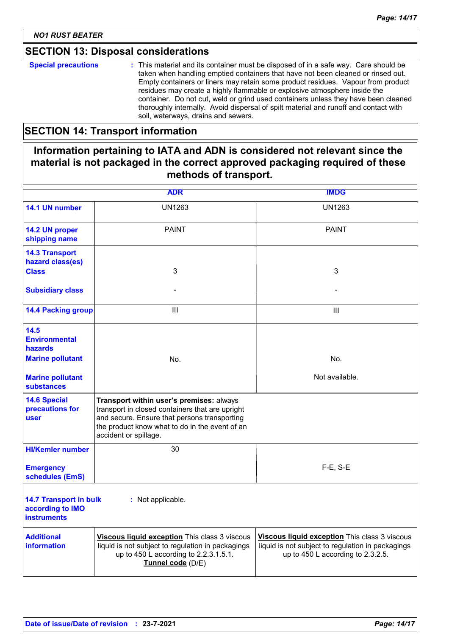## **SECTION 13: Disposal considerations**

## **SECTION 14: Transport information**

## **Information pertaining to IATA and ADN is considered not relevant since the material is not packaged in the correct approved packaging required of these methods of transport.**

|                                                                                                                    | <b>ADR</b>                                                                                                                                                                                                             | <b>IMDG</b>                                                                                                                             |
|--------------------------------------------------------------------------------------------------------------------|------------------------------------------------------------------------------------------------------------------------------------------------------------------------------------------------------------------------|-----------------------------------------------------------------------------------------------------------------------------------------|
| 14.1 UN number                                                                                                     | <b>UN1263</b>                                                                                                                                                                                                          | UN1263                                                                                                                                  |
| 14.2 UN proper<br>shipping name                                                                                    | <b>PAINT</b>                                                                                                                                                                                                           | <b>PAINT</b>                                                                                                                            |
| <b>14.3 Transport</b><br>hazard class(es)<br><b>Class</b>                                                          | 3                                                                                                                                                                                                                      | 3                                                                                                                                       |
| <b>Subsidiary class</b>                                                                                            |                                                                                                                                                                                                                        |                                                                                                                                         |
| <b>14.4 Packing group</b>                                                                                          | Ш                                                                                                                                                                                                                      | Ш                                                                                                                                       |
| 14.5<br><b>Environmental</b><br><b>hazards</b><br><b>Marine pollutant</b><br><b>Marine pollutant</b><br>substances | No.                                                                                                                                                                                                                    | No.<br>Not available.                                                                                                                   |
| <b>14.6 Special</b><br>precautions for<br>user                                                                     | Transport within user's premises: always<br>transport in closed containers that are upright<br>and secure. Ensure that persons transporting<br>the product know what to do in the event of an<br>accident or spillage. |                                                                                                                                         |
| <b>HI/Kemler number</b>                                                                                            | 30                                                                                                                                                                                                                     |                                                                                                                                         |
| <b>Emergency</b><br>schedules (EmS)                                                                                |                                                                                                                                                                                                                        | $F-E$ , S-E                                                                                                                             |
| <b>14.7 Transport in bulk</b><br>according to IMO<br><b>instruments</b>                                            | : Not applicable.                                                                                                                                                                                                      |                                                                                                                                         |
| <b>Additional</b><br><b>information</b>                                                                            | Viscous liquid exception This class 3 viscous<br>liquid is not subject to regulation in packagings<br>up to 450 L according to 2.2.3.1.5.1.<br>Tunnel code (D/E)                                                       | Viscous liquid exception This class 3 viscous<br>liquid is not subject to regulation in packagings<br>up to 450 L according to 2.3.2.5. |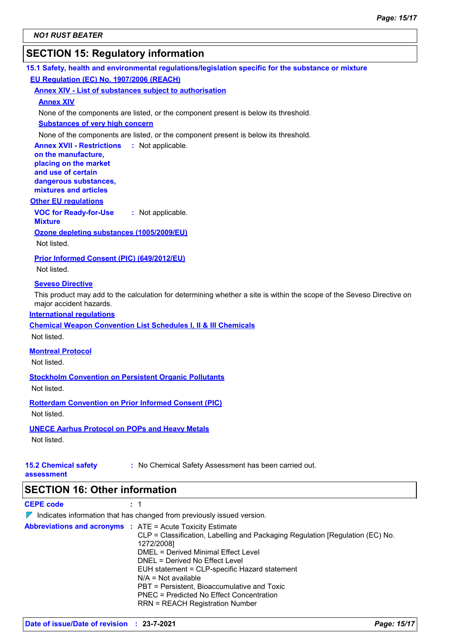## **SECTION 15: Regulatory information**

| 15.1 Safety, health and environmental regulations/legislation specific for the substance or mixture |  |
|-----------------------------------------------------------------------------------------------------|--|
| <b>EU Regulation (EC) No. 1907/2006 (REACH)</b>                                                     |  |

#### **Annex XIV - List of substances subject to authorisation**

#### **Annex XIV**

None of the components are listed, or the component present is below its threshold.

#### **Substances of very high concern**

None of the components are listed, or the component present is below its threshold.

**Annex XVII - Restrictions : Not applicable. on the manufacture, placing on the market** 

**and use of certain dangerous substances, mixtures and articles**

#### **Other EU regulations**

**VOC for Ready-for-Use :** Not applicable.

**Mixture Ozone depleting substances (1005/2009/EU)**

Not listed.

**Prior Informed Consent (PIC) (649/2012/EU)**

Not listed.

#### **Seveso Directive**

This product may add to the calculation for determining whether a site is within the scope of the Seveso Directive on major accident hazards.

#### **International regulations**

**Chemical Weapon Convention List Schedules I, II & III Chemicals**

Not listed.

**Montreal Protocol**

Not listed.

**Stockholm Convention on Persistent Organic Pollutants**

Not listed.

**Rotterdam Convention on Prior Informed Consent (PIC)**

Not listed.

## **UNECE Aarhus Protocol on POPs and Heavy Metals**

Not listed.

# **15.2 Chemical safety**

**:** No Chemical Safety Assessment has been carried out.

**assessment**

## **SECTION 16: Other information**

**CEPE code :** 1

 $\nabla$  Indicates information that has changed from previously issued version.

**Abbreviations and acronyms :** ATE = Acute Toxicity Estimate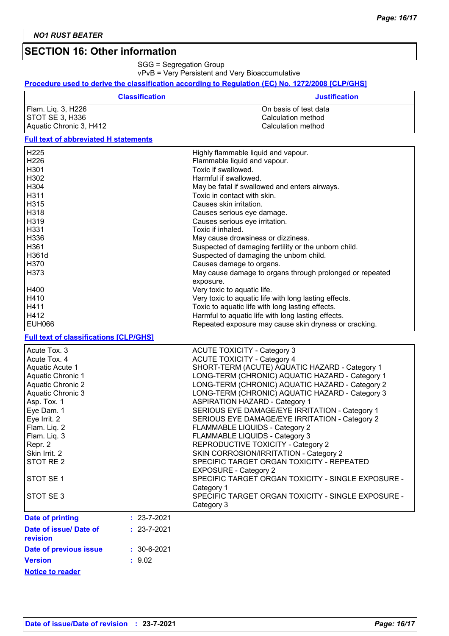## **SECTION 16: Other information**

SGG = Segregation Group

vPvB = Very Persistent and Very Bioaccumulative

#### **Procedure used to derive the classification according to Regulation (EC) No. 1272/2008 [CLP/GHS]**

| <b>Classification</b>   | <b>Justification</b>    |
|-------------------------|-------------------------|
| Flam. Liq. 3, H226      | l On basis of test data |
| ISTOT SE 3. H336        | l Calculation method    |
| Aquatic Chronic 3, H412 | Calculation method      |

## **Full text of abbreviated H statements**

| H <sub>225</sub>  | Highly flammable liquid and vapour.                      |
|-------------------|----------------------------------------------------------|
| H <sub>226</sub>  | Flammable liquid and vapour.                             |
| H <sub>301</sub>  | Toxic if swallowed.                                      |
| H302              | Harmful if swallowed.                                    |
| H <sub>304</sub>  | May be fatal if swallowed and enters airways.            |
| H311              | Toxic in contact with skin.                              |
| H <sub>315</sub>  | Causes skin irritation.                                  |
| H318              | Causes serious eye damage.                               |
| H <sub>3</sub> 19 | Causes serious eye irritation.                           |
| H331              | Toxic if inhaled.                                        |
| H336              | May cause drowsiness or dizziness.                       |
| H361              | Suspected of damaging fertility or the unborn child.     |
| H361d             | Suspected of damaging the unborn child.                  |
| H370              | Causes damage to organs.                                 |
| H373              | May cause damage to organs through prolonged or repeated |
|                   | exposure.                                                |
| H400              | Very toxic to aquatic life.                              |
| H410              | Very toxic to aquatic life with long lasting effects.    |
| H411              | Toxic to aquatic life with long lasting effects.         |
| H412              | Harmful to aquatic life with long lasting effects.       |
| <b>EUH066</b>     | Repeated exposure may cause skin dryness or cracking.    |
|                   |                                                          |

## **Full text of classifications [CLP/GHS]**

| Acute Tox. 3<br>Acute Tox. 4<br>Aquatic Acute 1<br>Aquatic Chronic 1<br><b>Aquatic Chronic 2</b><br><b>Aquatic Chronic 3</b><br>Asp. Tox. 1<br>Eye Dam. 1<br>Eye Irrit. 2<br>Flam. Liq. 2<br>Flam. Liq. 3<br>Repr. 2<br>Skin Irrit. 2<br>STOT RE <sub>2</sub><br>STOT SE <sub>1</sub><br>STOT SE 3 |                   | <b>ACUTE TOXICITY - Category 3</b><br><b>ACUTE TOXICITY - Category 4</b><br>SHORT-TERM (ACUTE) AQUATIC HAZARD - Category 1<br>LONG-TERM (CHRONIC) AQUATIC HAZARD - Category 1<br>LONG-TERM (CHRONIC) AQUATIC HAZARD - Category 2<br>LONG-TERM (CHRONIC) AQUATIC HAZARD - Category 3<br><b>ASPIRATION HAZARD - Category 1</b><br>SERIOUS EYE DAMAGE/EYE IRRITATION - Category 1<br>SERIOUS EYE DAMAGE/EYE IRRITATION - Category 2<br>FLAMMABLE LIQUIDS - Category 2<br>FLAMMABLE LIQUIDS - Category 3<br>REPRODUCTIVE TOXICITY - Category 2<br>SKIN CORROSION/IRRITATION - Category 2<br>SPECIFIC TARGET ORGAN TOXICITY - REPEATED<br><b>EXPOSURE - Category 2</b><br>SPECIFIC TARGET ORGAN TOXICITY - SINGLE EXPOSURE -<br>Category 1<br>SPECIFIC TARGET ORGAN TOXICITY - SINGLE EXPOSURE -<br>Category 3 |
|----------------------------------------------------------------------------------------------------------------------------------------------------------------------------------------------------------------------------------------------------------------------------------------------------|-------------------|-----------------------------------------------------------------------------------------------------------------------------------------------------------------------------------------------------------------------------------------------------------------------------------------------------------------------------------------------------------------------------------------------------------------------------------------------------------------------------------------------------------------------------------------------------------------------------------------------------------------------------------------------------------------------------------------------------------------------------------------------------------------------------------------------------------|
| <b>Date of printing</b>                                                                                                                                                                                                                                                                            | $: 23 - 7 - 2021$ |                                                                                                                                                                                                                                                                                                                                                                                                                                                                                                                                                                                                                                                                                                                                                                                                           |
| Date of issue/ Date of<br>revision                                                                                                                                                                                                                                                                 | $: 23 - 7 - 2021$ |                                                                                                                                                                                                                                                                                                                                                                                                                                                                                                                                                                                                                                                                                                                                                                                                           |
| Date of previous issue                                                                                                                                                                                                                                                                             | $: 30 - 6 - 2021$ |                                                                                                                                                                                                                                                                                                                                                                                                                                                                                                                                                                                                                                                                                                                                                                                                           |
| <b>Version</b>                                                                                                                                                                                                                                                                                     | : 9.02            |                                                                                                                                                                                                                                                                                                                                                                                                                                                                                                                                                                                                                                                                                                                                                                                                           |

**Notice to reader**